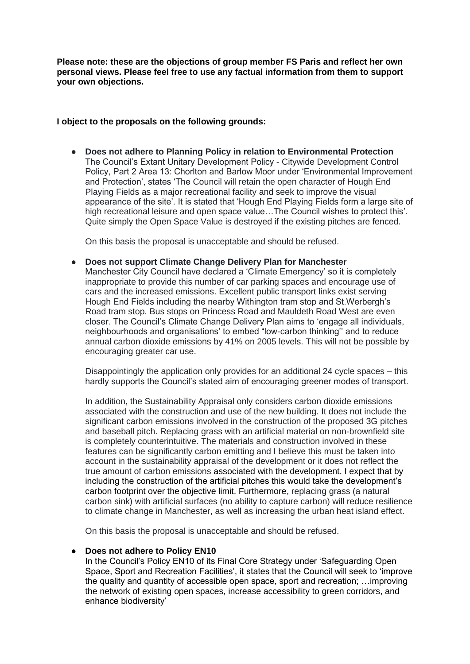**Please note: these are the objections of group member FS Paris and reflect her own personal views. Please feel free to use any factual information from them to support your own objections.** 

#### **I object to the proposals on the following grounds:**

● **Does not adhere to Planning Policy in relation to Environmental Protection** The Council's Extant Unitary Development Policy - Citywide Development Control Policy, Part 2 Area 13: Chorlton and Barlow Moor under 'Environmental Improvement and Protection', states 'The Council will retain the open character of Hough End Playing Fields as a major recreational facility and seek to improve the visual appearance of the site'. It is stated that 'Hough End Playing Fields form a large site of high recreational leisure and open space value…The Council wishes to protect this'. Quite simply the Open Space Value is destroyed if the existing pitches are fenced.

On this basis the proposal is unacceptable and should be refused.

● **Does not support Climate Change Delivery Plan for Manchester** Manchester City Council have declared a 'Climate Emergency' so it is completely inappropriate to provide this number of car parking spaces and encourage use of cars and the increased emissions. Excellent public transport links exist serving Hough End Fields including the nearby Withington tram stop and St.Werbergh's Road tram stop. Bus stops on Princess Road and Mauldeth Road West are even closer. The Council's Climate Change Delivery Plan aims to 'engage all individuals, neighbourhoods and organisations' to embed "low-carbon thinking'' and to reduce annual carbon dioxide emissions by 41% on 2005 levels. This will not be possible by encouraging greater car use.

Disappointingly the application only provides for an additional 24 cycle spaces – this hardly supports the Council's stated aim of encouraging greener modes of transport.

In addition, the Sustainability Appraisal only considers carbon dioxide emissions associated with the construction and use of the new building. It does not include the significant carbon emissions involved in the construction of the proposed 3G pitches and baseball pitch. Replacing grass with an artificial material on non-brownfield site is completely counterintuitive. The materials and construction involved in these features can be significantly carbon emitting and I believe this must be taken into account in the sustainability appraisal of the development or it does not reflect the true amount of carbon emissions associated with the development. I expect that by including the construction of the artificial pitches this would take the development's carbon footprint over the objective limit. Furthermore, replacing grass (a natural carbon sink) with artificial surfaces (no ability to capture carbon) will reduce resilience to climate change in Manchester, as well as increasing the urban heat island effect.

On this basis the proposal is unacceptable and should be refused.

# ● **Does not adhere to Policy EN10**

In the Council's Policy EN10 of its Final Core Strategy under 'Safeguarding Open Space, Sport and Recreation Facilities', it states that the Council will seek to 'improve the quality and quantity of accessible open space, sport and recreation; …improving the network of existing open spaces, increase accessibility to green corridors, and enhance biodiversity'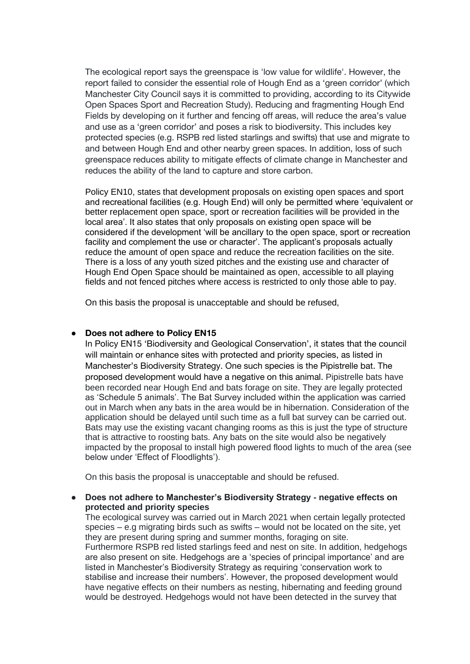The ecological report says the greenspace is 'low value for wildlife'. However, the report failed to consider the essential role of Hough End as a 'green corridor' (which Manchester City Council says it is committed to providing, according to its Citywide Open Spaces Sport and Recreation Study). Reducing and fragmenting Hough End Fields by developing on it further and fencing off areas, will reduce the area's value and use as a 'green corridor' and poses a risk to biodiversity. This includes key protected species (e.g. RSPB red listed starlings and swifts) that use and migrate to and between Hough End and other nearby green spaces. In addition, loss of such greenspace reduces ability to mitigate effects of climate change in Manchester and reduces the ability of the land to capture and store carbon.

Policy EN10, states that development proposals on existing open spaces and sport and recreational facilities (e.g. Hough End) will only be permitted where 'equivalent or better replacement open space, sport or recreation facilities will be provided in the local area'. It also states that only proposals on existing open space will be considered if the development 'will be ancillary to the open space, sport or recreation facility and complement the use or character'. The applicant's proposals actually reduce the amount of open space and reduce the recreation facilities on the site. There is a loss of any youth sized pitches and the existing use and character of Hough End Open Space should be maintained as open, accessible to all playing fields and not fenced pitches where access is restricted to only those able to pay.

On this basis the proposal is unacceptable and should be refused,

# ● **Does not adhere to Policy EN15**

In Policy EN15 'Biodiversity and Geological Conservation', it states that the council will maintain or enhance sites with protected and priority species, as listed in Manchester's Biodiversity Strategy. One such species is the Pipistrelle bat. The proposed development would have a negative on this animal. Pipistrelle bats have been recorded near Hough End and bats forage on site. They are legally protected as 'Schedule 5 animals'. The Bat Survey included within the application was carried out in March when any bats in the area would be in hibernation. Consideration of the application should be delayed until such time as a full bat survey can be carried out. Bats may use the existing vacant changing rooms as this is just the type of structure that is attractive to roosting bats. Any bats on the site would also be negatively impacted by the proposal to install high powered flood lights to much of the area (see below under 'Effect of Floodlights').

On this basis the proposal is unacceptable and should be refused.

# ● **Does not adhere to Manchester's Biodiversity Strategy - negative effects on protected and priority species**

The ecological survey was carried out in March 2021 when certain legally protected species – e.g migrating birds such as swifts – would not be located on the site, yet they are present during spring and summer months, foraging on site. Furthermore RSPB red listed starlings feed and nest on site. In addition, hedgehogs are also present on site. Hedgehogs are a 'species of principal importance' and are listed in Manchester's Biodiversity Strategy as requiring 'conservation work to stabilise and increase their numbers'. However, the proposed development would have negative effects on their numbers as nesting, hibernating and feeding ground would be destroyed. Hedgehogs would not have been detected in the survey that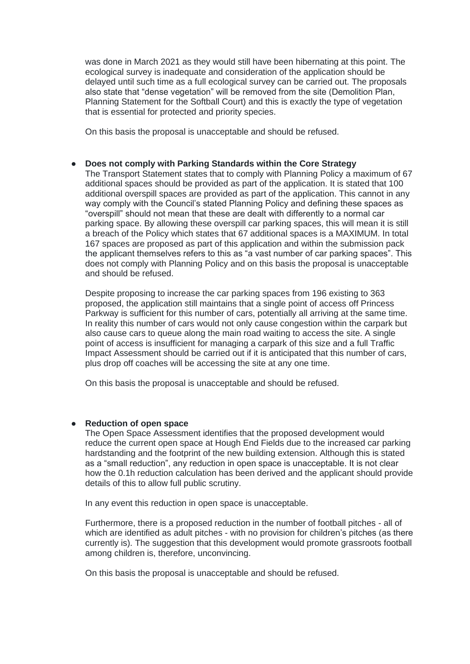was done in March 2021 as they would still have been hibernating at this point. The ecological survey is inadequate and consideration of the application should be delayed until such time as a full ecological survey can be carried out. The proposals also state that "dense vegetation" will be removed from the site (Demolition Plan, Planning Statement for the Softball Court) and this is exactly the type of vegetation that is essential for protected and priority species.

On this basis the proposal is unacceptable and should be refused.

## ● **Does not comply with Parking Standards within the Core Strategy**

The Transport Statement states that to comply with Planning Policy a maximum of 67 additional spaces should be provided as part of the application. It is stated that 100 additional overspill spaces are provided as part of the application. This cannot in any way comply with the Council's stated Planning Policy and defining these spaces as "overspill" should not mean that these are dealt with differently to a normal car parking space. By allowing these overspill car parking spaces, this will mean it is still a breach of the Policy which states that 67 additional spaces is a MAXIMUM. In total 167 spaces are proposed as part of this application and within the submission pack the applicant themselves refers to this as "a vast number of car parking spaces". This does not comply with Planning Policy and on this basis the proposal is unacceptable and should be refused.

Despite proposing to increase the car parking spaces from 196 existing to 363 proposed, the application still maintains that a single point of access off Princess Parkway is sufficient for this number of cars, potentially all arriving at the same time. In reality this number of cars would not only cause congestion within the carpark but also cause cars to queue along the main road waiting to access the site. A single point of access is insufficient for managing a carpark of this size and a full Traffic Impact Assessment should be carried out if it is anticipated that this number of cars, plus drop off coaches will be accessing the site at any one time.

On this basis the proposal is unacceptable and should be refused.

# ● **Reduction of open space**

The Open Space Assessment identifies that the proposed development would reduce the current open space at Hough End Fields due to the increased car parking hardstanding and the footprint of the new building extension. Although this is stated as a "small reduction", any reduction in open space is unacceptable. It is not clear how the 0.1h reduction calculation has been derived and the applicant should provide details of this to allow full public scrutiny.

In any event this reduction in open space is unacceptable.

Furthermore, there is a proposed reduction in the number of football pitches - all of which are identified as adult pitches - with no provision for children's pitches (as there currently is). The suggestion that this development would promote grassroots football among children is, therefore, unconvincing.

On this basis the proposal is unacceptable and should be refused.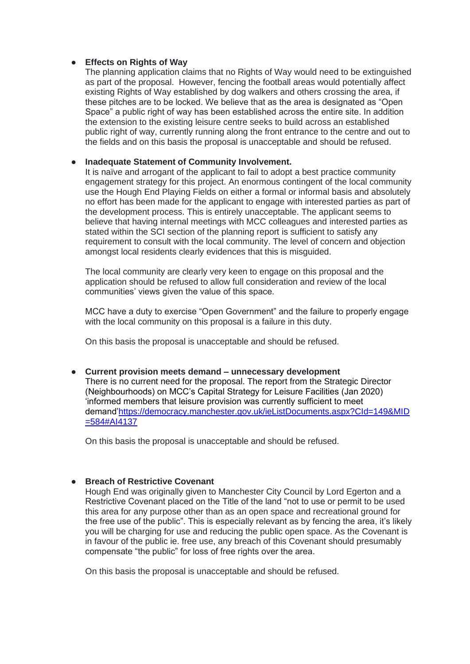# **Effects on Rights of Way**

The planning application claims that no Rights of Way would need to be extinguished as part of the proposal. However, fencing the football areas would potentially affect existing Rights of Way established by dog walkers and others crossing the area, if these pitches are to be locked. We believe that as the area is designated as "Open Space" a public right of way has been established across the entire site. In addition the extension to the existing leisure centre seeks to build across an established public right of way, currently running along the front entrance to the centre and out to the fields and on this basis the proposal is unacceptable and should be refused.

# ● **Inadequate Statement of Community Involvement.**

It is naïve and arrogant of the applicant to fail to adopt a best practice community engagement strategy for this project. An enormous contingent of the local community use the Hough End Playing Fields on either a formal or informal basis and absolutely no effort has been made for the applicant to engage with interested parties as part of the development process. This is entirely unacceptable. The applicant seems to believe that having internal meetings with MCC colleagues and interested parties as stated within the SCI section of the planning report is sufficient to satisfy any requirement to consult with the local community. The level of concern and objection amongst local residents clearly evidences that this is misguided.

The local community are clearly very keen to engage on this proposal and the application should be refused to allow full consideration and review of the local communities' views given the value of this space.

MCC have a duty to exercise "Open Government" and the failure to properly engage with the local community on this proposal is a failure in this duty.

On this basis the proposal is unacceptable and should be refused.

● **Current provision meets demand – unnecessary development**  There is no current need for the proposal. The report from the Strategic Director (Neighbourhoods) on MCC's Capital Strategy for Leisure Facilities (Jan 2020) 'informed members that leisure provision was currently sufficient to meet demand['https://democracy.manchester.gov.uk/ieListDocuments.aspx?CId=149&MID](https://democracy.manchester.gov.uk/ieListDocuments.aspx?CId=149&MID=584#AI4137)  $=584#Al4137$ 

On this basis the proposal is unacceptable and should be refused.

# ● **Breach of Restrictive Covenant**

Hough End was originally given to Manchester City Council by Lord Egerton and a Restrictive Covenant placed on the Title of the land "not to use or permit to be used this area for any purpose other than as an open space and recreational ground for the free use of the public". This is especially relevant as by fencing the area, it's likely you will be charging for use and reducing the public open space. As the Covenant is in favour of the public ie. free use, any breach of this Covenant should presumably compensate "the public" for loss of free rights over the area.

On this basis the proposal is unacceptable and should be refused.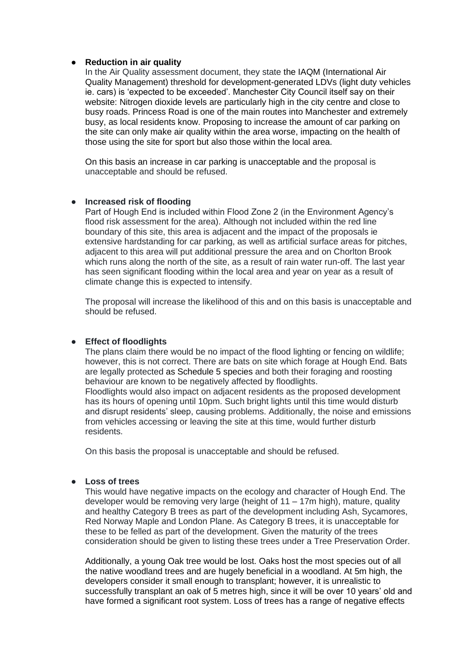#### ● **Reduction in air quality**

In the Air Quality assessment document, they state the IAQM (International Air Quality Management) threshold for development-generated LDVs (light duty vehicles ie. cars) is 'expected to be exceeded'. Manchester City Council itself say on their website: Nitrogen dioxide levels are particularly high in the city centre and close to busy roads. Princess Road is one of the main routes into Manchester and extremely busy, as local residents know. Proposing to increase the amount of car parking on the site can only make air quality within the area worse, impacting on the health of those using the site for sport but also those within the local area.

On this basis an increase in car parking is unacceptable and the proposal is unacceptable and should be refused.

#### ● **Increased risk of flooding**

Part of Hough End is included within Flood Zone 2 (in the Environment Agency's flood risk assessment for the area). Although not included within the red line boundary of this site, this area is adjacent and the impact of the proposals ie extensive hardstanding for car parking, as well as artificial surface areas for pitches, adjacent to this area will put additional pressure the area and on Chorlton Brook which runs along the north of the site, as a result of rain water run-off. The last year has seen significant flooding within the local area and year on year as a result of climate change this is expected to intensify.

The proposal will increase the likelihood of this and on this basis is unacceptable and should be refused.

# ● **Effect of floodlights**

The plans claim there would be no impact of the flood lighting or fencing on wildlife; however, this is not correct. There are bats on site which forage at Hough End. Bats are legally protected as Schedule 5 species and both their foraging and roosting behaviour are known to be negatively affected by floodlights. Floodlights would also impact on adjacent residents as the proposed development has its hours of opening until 10pm. Such bright lights until this time would disturb and disrupt residents' sleep, causing problems. Additionally, the noise and emissions from vehicles accessing or leaving the site at this time, would further disturb residents.

On this basis the proposal is unacceptable and should be refused.

#### ● **Loss of trees**

This would have negative impacts on the ecology and character of Hough End. The developer would be removing very large (height of 11 – 17m high), mature, quality and healthy Category B trees as part of the development including Ash, Sycamores, Red Norway Maple and London Plane. As Category B trees, it is unacceptable for these to be felled as part of the development. Given the maturity of the trees consideration should be given to listing these trees under a Tree Preservation Order.

Additionally, a young Oak tree would be lost. Oaks host the most species out of all the native woodland trees and are hugely beneficial in a woodland. At 5m high, the developers consider it small enough to transplant; however, it is unrealistic to successfully transplant an oak of 5 metres high, since it will be over 10 years' old and have formed a significant root system. Loss of trees has a range of negative effects